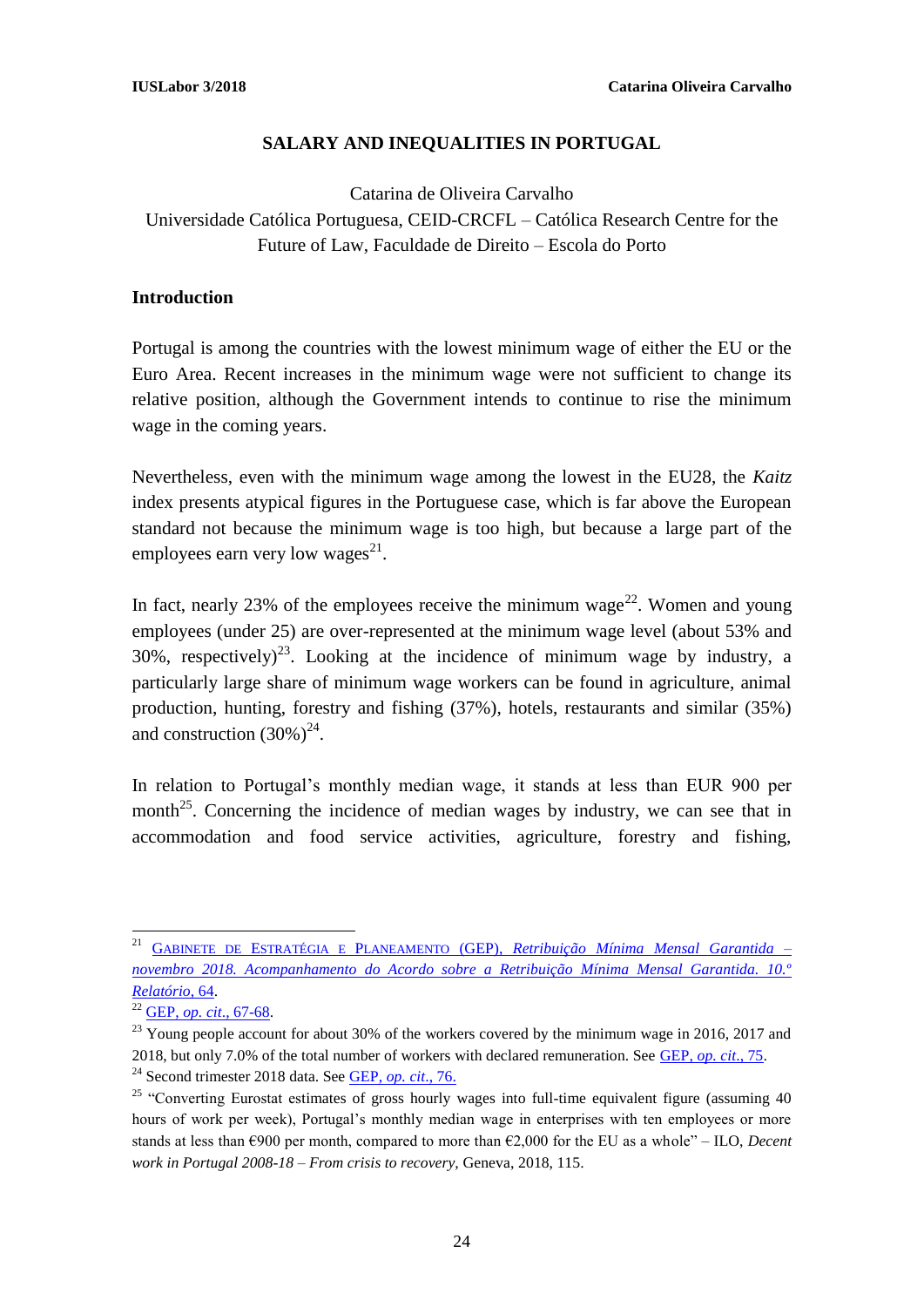### **SALARY AND INEQUALITIES IN PORTUGAL**

### Catarina de Oliveira Carvalho Universidade Católica Portuguesa, CEID-CRCFL – Católica Research Centre for the Future of Law, Faculdade de Direito – Escola do Porto

#### **Introduction**

Portugal is among the countries with the lowest minimum wage of either the EU or the Euro Area. Recent increases in the minimum wage were not sufficient to change its relative position, although the Government intends to continue to rise the minimum wage in the coming years.

Nevertheless, even with the minimum wage among the lowest in the EU28, the *Kaitz* index presents atypical figures in the Portuguese case, which is far above the European standard not because the minimum wage is too high, but because a large part of the employees earn very low wages $^{21}$ .

In fact, nearly 23% of the employees receive the minimum wage<sup>22</sup>. Women and young employees (under 25) are over-represented at the minimum wage level (about 53% and 30%, respectively)<sup>23</sup>. Looking at the incidence of minimum wage by industry, a particularly large share of minimum wage workers can be found in agriculture, animal production, hunting, forestry and fishing (37%), hotels, restaurants and similar (35%) and construction  $(30\%)^{24}$ .

In relation to Portugal's monthly median wage, it stands at less than EUR 900 per month<sup>25</sup>. Concerning the incidence of median wages by industry, we can see that in accommodation and food service activities, agriculture, forestry and fishing,

 $\overline{a}$ <sup>21</sup> GABINETE DE ESTRATÉGIA E PLANEAMENTO (GEP), *[Retribuição Mínima Mensal Garantida –](https://www.portugal.gov.pt/download-ficheiros/ficheiro.aspx?v=8cb76dd4-5f0f-4135-899c-c841c8f454df) [novembro 2018. Acompanhamento do Acordo sobre a Retribuição Mínima Mensal Garantida. 10.º](https://www.portugal.gov.pt/download-ficheiros/ficheiro.aspx?v=8cb76dd4-5f0f-4135-899c-c841c8f454df)  [Relatório](https://www.portugal.gov.pt/download-ficheiros/ficheiro.aspx?v=8cb76dd4-5f0f-4135-899c-c841c8f454df)*, 64.

<sup>22</sup> GEP, *op. cit*[., 67-68.](https://www.portugal.gov.pt/download-ficheiros/ficheiro.aspx?v=8cb76dd4-5f0f-4135-899c-c841c8f454df)

 $^{23}$  Young people account for about 30% of the workers covered by the minimum wage in 2016, 2017 and 2018, but only 7.0% of the total number of workers with declared remuneration. See [GEP,](https://www.portugal.gov.pt/download-ficheiros/ficheiro.aspx?v=8cb76dd4-5f0f-4135-899c-c841c8f454df) *op. cit*., 75. <sup>24</sup> Second trimester 2018 data. See [GEP,](https://www.portugal.gov.pt/download-ficheiros/ficheiro.aspx?v=8cb76dd4-5f0f-4135-899c-c841c8f454df) *op. cit*., 76.

<sup>&</sup>lt;sup>25</sup> "Converting Eurostat estimates of gross hourly wages into full-time equivalent figure (assuming 40) hours of work per week), Portugal's monthly median wage in enterprises with ten employees or more stands at less than €900 per month, compared to more than €2,000 for the EU as a whole" – ILO, *Decent work in Portugal 2008-18 – From crisis to recovery,* Geneva, 2018, 115.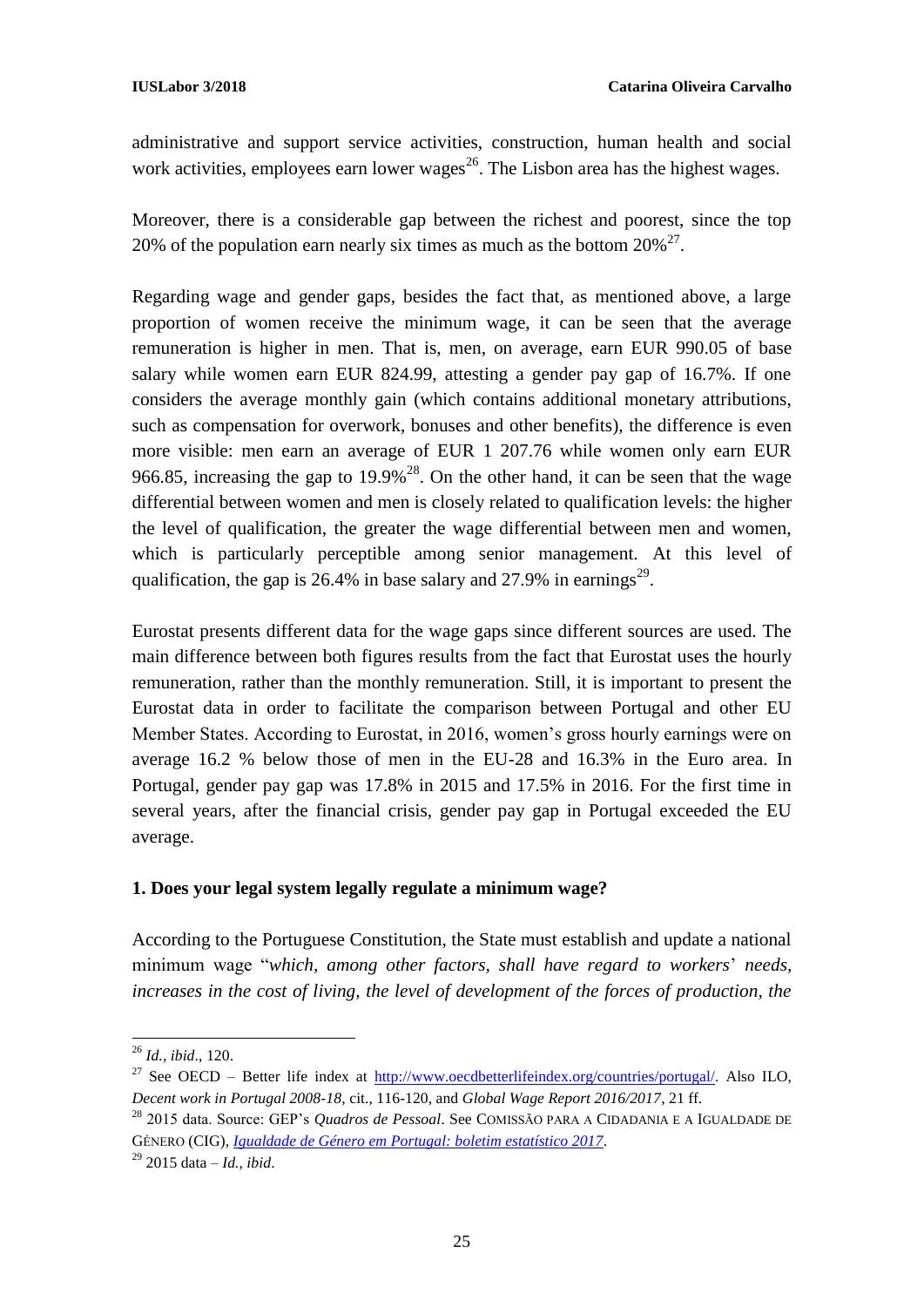administrative and support service activities, construction, human health and social work activities, employees earn lower wages<sup>26</sup>. The Lisbon area has the highest wages.

Moreover, there is a considerable gap between the richest and poorest, since the top 20% of the population earn nearly six times as much as the bottom  $20\%^{27}$ .

Regarding wage and gender gaps, besides the fact that, as mentioned above, a large proportion of women receive the minimum wage, it can be seen that the average remuneration is higher in men. That is, men, on average, earn EUR 990.05 of base salary while women earn EUR 824.99, attesting a gender pay gap of 16.7%. If one considers the average monthly gain (which contains additional monetary attributions, such as compensation for overwork, bonuses and other benefits), the difference is even more visible: men earn an average of EUR 1 207.76 while women only earn EUR 966.85, increasing the gap to  $19.9\%$ <sup>28</sup>. On the other hand, it can be seen that the wage differential between women and men is closely related to qualification levels: the higher the level of qualification, the greater the wage differential between men and women, which is particularly perceptible among senior management. At this level of qualification, the gap is 26.4% in base salary and 27.9% in earnings<sup>29</sup>.

Eurostat presents different data for the wage gaps since different sources are used. The main difference between both figures results from the fact that Eurostat uses the hourly remuneration, rather than the monthly remuneration. Still, it is important to present the Eurostat data in order to facilitate the comparison between Portugal and other EU Member States. According to Eurostat, in 2016, women's gross hourly earnings were on average 16.2 % below those of men in the EU-28 and 16.3% in the Euro area. In Portugal, gender pay gap was 17.8% in 2015 and 17.5% in 2016. For the first time in several years, after the financial crisis, gender pay gap in Portugal exceeded the EU average.

#### **1. Does your legal system legally regulate a minimum wage?**

According to the Portuguese Constitution, the State must establish and update a national minimum wage "*which, among other factors, shall have regard to workers*' *needs,*  increases in the cost of living, the level of development of the forces of production, the

**.** 

<sup>26</sup> *Id., ibid*., 120.

<sup>&</sup>lt;sup>27</sup> See OECD – Better life index at  $\frac{http://www.oecdbetterliefeindex.org/countries/portugal/}{http://www.oecdbetterliefeindex.org/countries/portugal/}{$ . Also ILO, *Decent work in Portugal 2008-18,* cit., 116-120, and *Global Wage Report 2016/2017*, 21 ff.

<sup>28</sup> 2015 data. Source: GEP's *Quadros de Pessoal*. See COMISSÃO PARA A CIDADANIA E A IGUALDADE DE GÉNERO (CIG)*, [Igualdade de Género em Portugal: boletim estatístico 2017.](https://www.cig.gov.pt/wp-content/uploads/2018/02/Boletim-estatistico-2017.pdf)* 

<sup>29</sup> 2015 data – *Id., ibid*.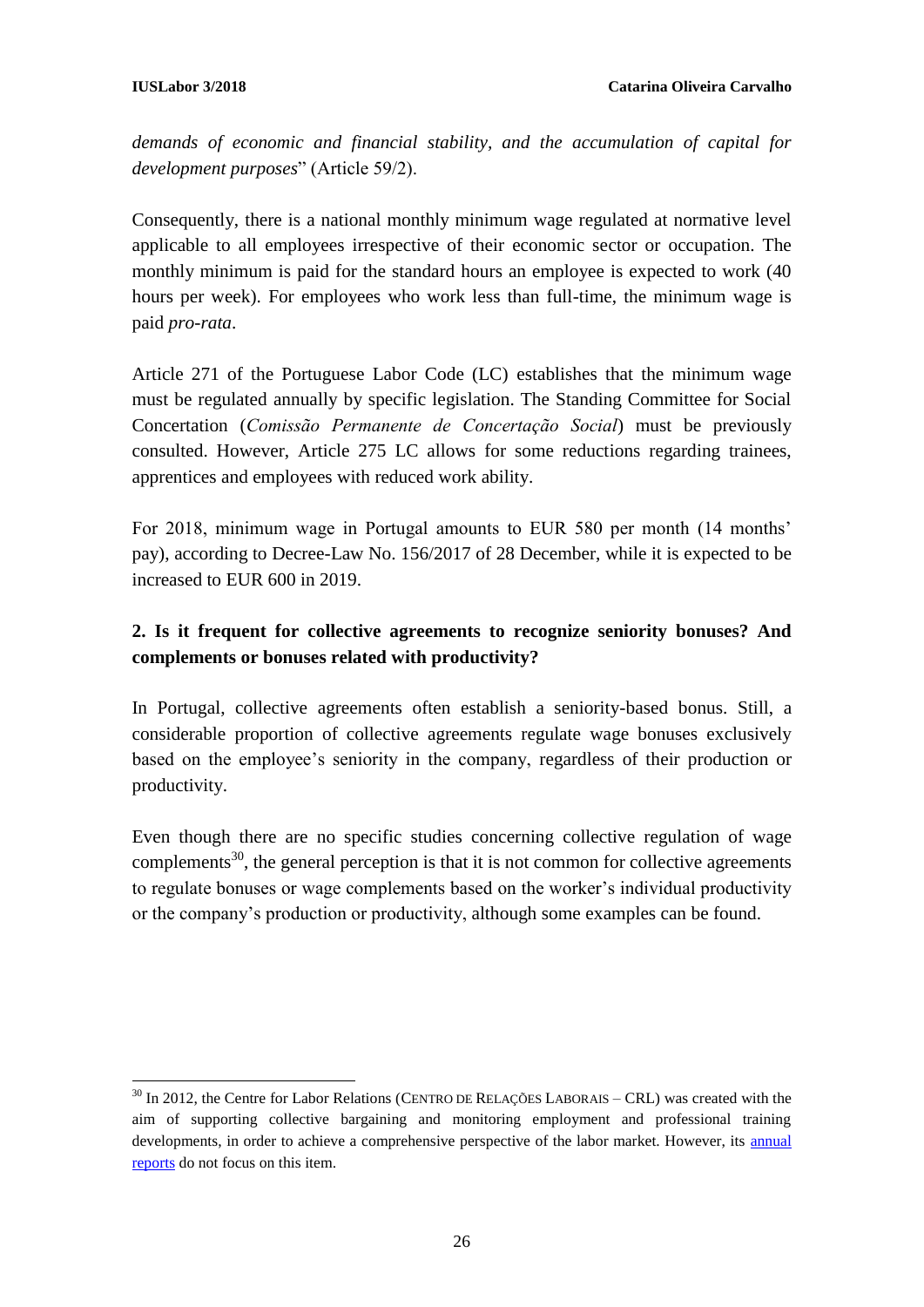*demands of economic and financial stability, and the accumulation of capital for development purposes*" (Article 59/2).

Consequently, there is a national monthly minimum wage regulated at normative level applicable to all employees irrespective of their economic sector or occupation. The monthly minimum is paid for the standard hours an employee is expected to work (40 hours per week). For employees who work less than full-time, the minimum wage is paid *pro-rata*.

Article 271 of the Portuguese Labor Code (LC) establishes that the minimum wage must be regulated annually by specific legislation. The Standing Committee for Social Concertation (*Comissão Permanente de Concertação Social*) must be previously consulted. However, Article 275 LC allows for some reductions regarding trainees, apprentices and employees with reduced work ability.

For 2018, minimum wage in Portugal amounts to EUR 580 per month (14 months' pay), according to Decree-Law No. 156/2017 of 28 December, while it is expected to be increased to EUR 600 in 2019.

### **2. Is it frequent for collective agreements to recognize seniority bonuses? And complements or bonuses related with productivity?**

In Portugal, collective agreements often establish a seniority-based bonus. Still, a considerable proportion of collective agreements regulate wage bonuses exclusively based on the employee's seniority in the company, regardless of their production or productivity.

Even though there are no specific studies concerning collective regulation of wage complements<sup>30</sup>, the general perception is that it is not common for collective agreements to regulate bonuses or wage complements based on the worker's individual productivity or the company's production or productivity, although some examples can be found.

<sup>1</sup>  $30$  In 2012, the Centre for Labor Relations (CENTRO DE RELAÇÕES LABORAIS – CRL) was created with the aim of supporting collective bargaining and monitoring employment and professional training developments, in order to achieve a comprehensive perspective of the labor market. However, its [annual](https://en.crlaborais.pt/reports)  [reports](https://en.crlaborais.pt/reports) do not focus on this item.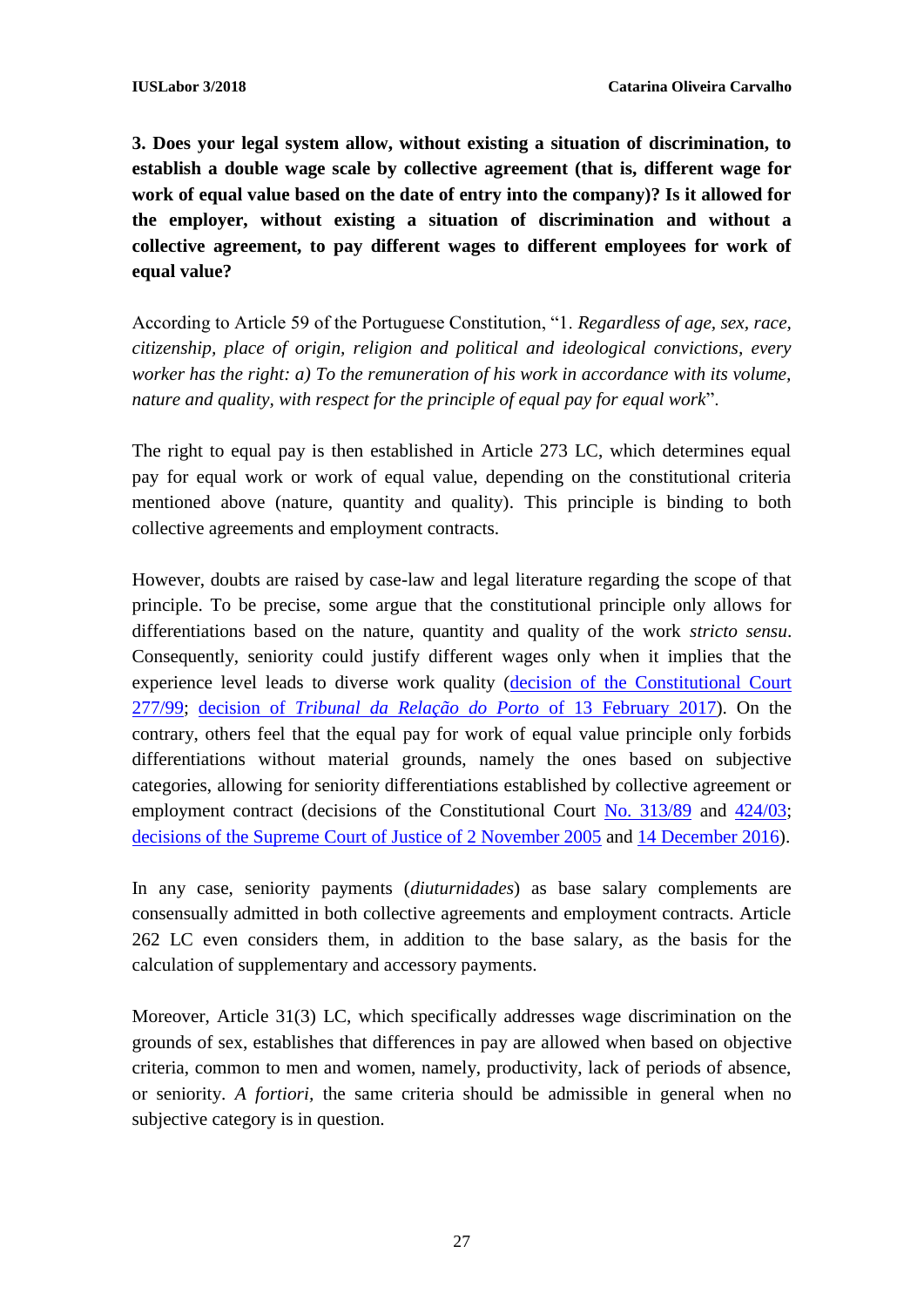**3. Does your legal system allow, without existing a situation of discrimination, to establish a double wage scale by collective agreement (that is, different wage for work of equal value based on the date of entry into the company)? Is it allowed for the employer, without existing a situation of discrimination and without a collective agreement, to pay different wages to different employees for work of equal value?**

According to Article 59 of the Portuguese Constitution, "1. *Regardless of age, sex, race, citizenship, place of origin, religion and political and ideological convictions, every worker has the right: a) To the remuneration of his work in accordance with its volume, nature and quality, with respect for the principle of equal pay for equal work*".

The right to equal pay is then established in Article 273 LC, which determines equal pay for equal work or work of equal value, depending on the constitutional criteria mentioned above (nature, quantity and quality). This principle is binding to both collective agreements and employment contracts.

However, doubts are raised by case-law and legal literature regarding the scope of that principle. To be precise, some argue that the constitutional principle only allows for differentiations based on the nature, quantity and quality of the work *stricto sensu*. Consequently, seniority could justify different wages only when it implies that the experience level leads to diverse work quality [\(decision of the Constitutional Court](http://www.tribunalconstitucional.pt/tc/acordaos/19990277.html)  [277/99;](http://www.tribunalconstitucional.pt/tc/acordaos/19990277.html) decision of *[Tribunal da Relação do Porto](http://www.dgsi.pt/jtrp.nsf/56a6e7121657f91e80257cda00381fdf/a357c406035a938d802580d10042caca?OpenDocument)* of 13 February 2017). On the contrary, others feel that the equal pay for work of equal value principle only forbids differentiations without material grounds, namely the ones based on subjective categories, allowing for seniority differentiations established by collective agreement or employment contract (decisions of the Constitutional Court [No. 313/89](http://www.tribunalconstitucional.pt/tc/acordaos/19890313.html) and [424/03;](http://www.tribunalconstitucional.pt/tc/acordaos/20030424.html) [decisions of the Supreme Court of Justice of 2 November 2005](http://www.dgsi.pt/jstj.nsf/954f0ce6ad9dd8b980256b5f003fa814/02925e82cd1fa1e7802570c90068e4ba?OpenDocument) and [14 December 2016\)](http://www.dgsi.pt/jstj.nsf/954f0ce6ad9dd8b980256b5f003fa814/b2a2dfe5caef40468025808a0036de43?OpenDocument).

In any case, seniority payments (*diuturnidades*) as base salary complements are consensually admitted in both collective agreements and employment contracts. Article 262 LC even considers them, in addition to the base salary, as the basis for the calculation of supplementary and accessory payments.

Moreover, Article 31(3) LC, which specifically addresses wage discrimination on the grounds of sex, establishes that differences in pay are allowed when based on objective criteria, common to men and women, namely, productivity, lack of periods of absence, or seniority. *A fortiori,* the same criteria should be admissible in general when no subjective category is in question.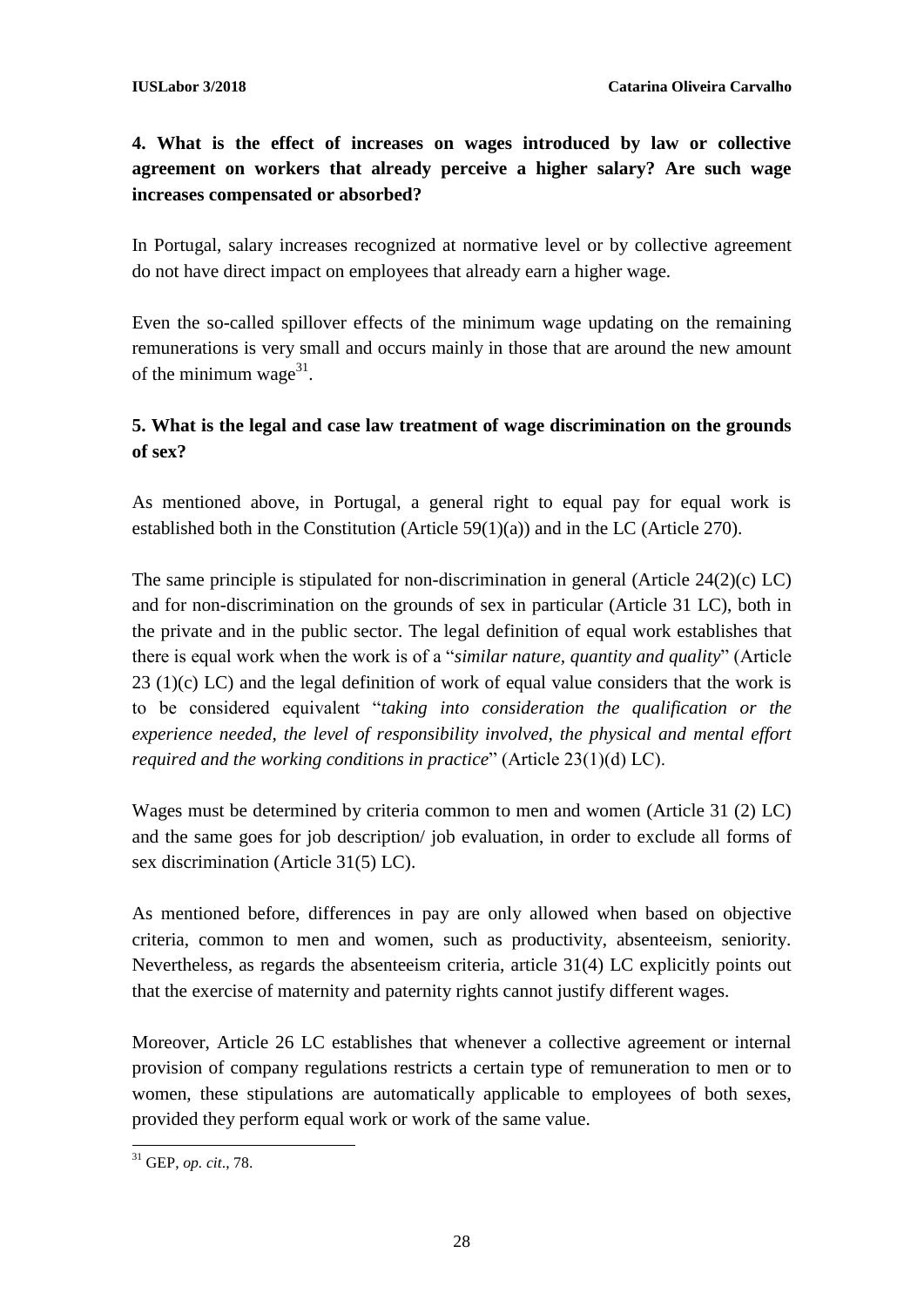### **4. What is the effect of increases on wages introduced by law or collective agreement on workers that already perceive a higher salary? Are such wage increases compensated or absorbed?**

In Portugal, salary increases recognized at normative level or by collective agreement do not have direct impact on employees that already earn a higher wage.

Even the so-called spillover effects of the minimum wage updating on the remaining remunerations is very small and occurs mainly in those that are around the new amount of the minimum wage $31$ .

### **5. What is the legal and case law treatment of wage discrimination on the grounds of sex?**

As mentioned above, in Portugal, a general right to equal pay for equal work is established both in the Constitution (Article 59(1)(a)) and in the LC (Article 270).

The same principle is stipulated for non-discrimination in general (Article 24(2)(c) LC) and for non-discrimination on the grounds of sex in particular (Article 31 LC), both in the private and in the public sector. The legal definition of equal work establishes that there is equal work when the work is of a "*similar nature, quantity and quality*" (Article 23 (1)(c) LC) and the legal definition of work of equal value considers that the work is to be considered equivalent "*taking into consideration the qualification or the experience needed, the level of responsibility involved, the physical and mental effort required and the working conditions in practice*" (Article 23(1)(d) LC).

Wages must be determined by criteria common to men and women (Article 31 (2) LC) and the same goes for job description/ job evaluation, in order to exclude all forms of sex discrimination (Article 31(5) LC).

As mentioned before, differences in pay are only allowed when based on objective criteria, common to men and women, such as productivity, absenteeism, seniority. Nevertheless, as regards the absenteeism criteria, article 31(4) LC explicitly points out that the exercise of maternity and paternity rights cannot justify different wages.

Moreover, Article 26 LC establishes that whenever a collective agreement or internal provision of company regulations restricts a certain type of remuneration to men or to women, these stipulations are automatically applicable to employees of both sexes, provided they perform equal work or work of the same value.

**<sup>.</sup>** <sup>31</sup> GEP, *op. cit*., 78.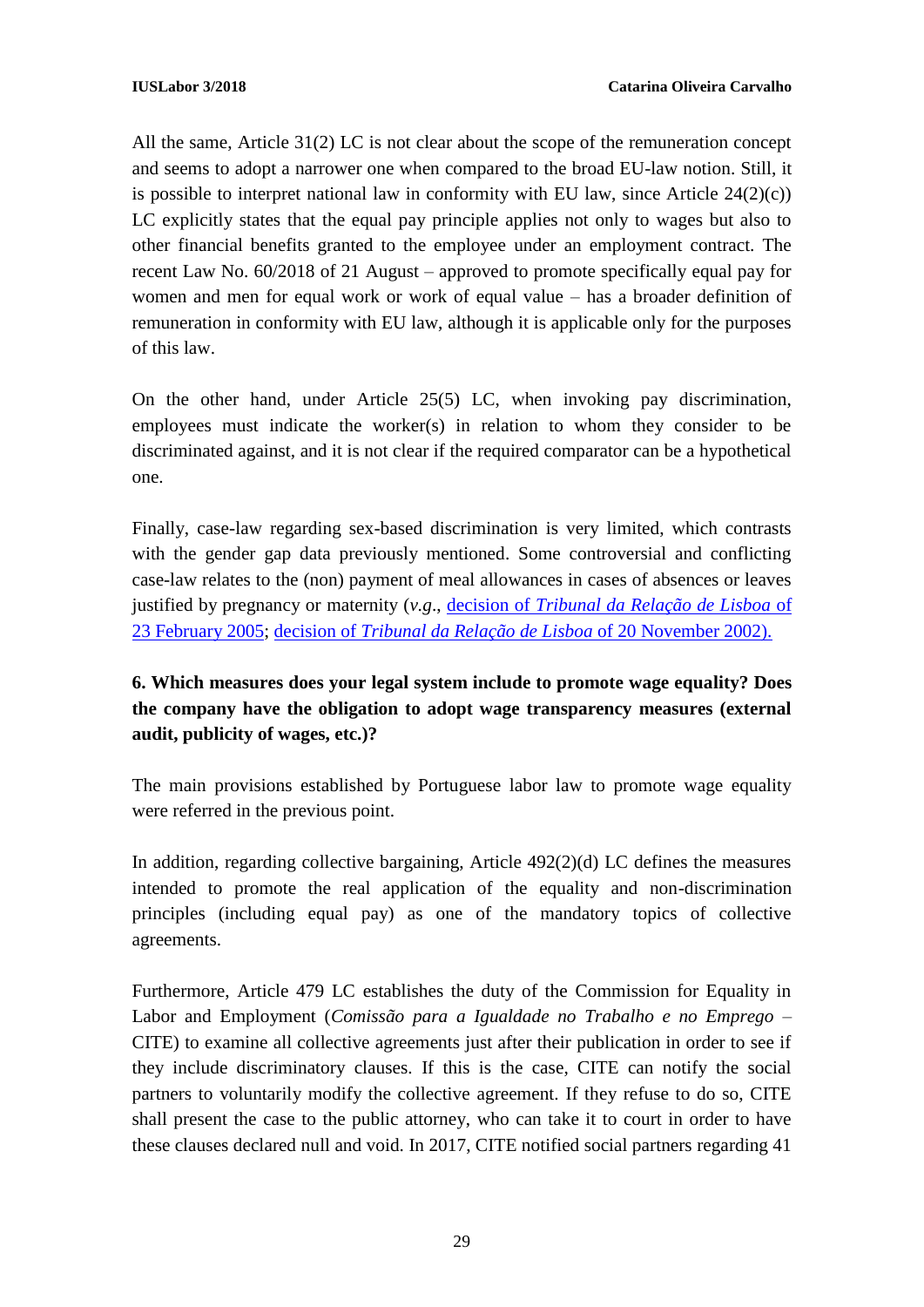All the same, Article 31(2) LC is not clear about the scope of the remuneration concept and seems to adopt a narrower one when compared to the broad EU-law notion. Still, it is possible to interpret national law in conformity with EU law, since Article  $24(2)(c)$ ) LC explicitly states that the equal pay principle applies not only to wages but also to other financial benefits granted to the employee under an employment contract. The recent Law No. 60/2018 of 21 August – approved to promote specifically equal pay for women and men for equal work or work of equal value – has a broader definition of remuneration in conformity with EU law, although it is applicable only for the purposes of this law.

On the other hand, under Article 25(5) LC, when invoking pay discrimination, employees must indicate the worker(s) in relation to whom they consider to be discriminated against, and it is not clear if the required comparator can be a hypothetical one.

Finally, case-law regarding sex-based discrimination is very limited, which contrasts with the gender gap data previously mentioned. Some controversial and conflicting case-law relates to the (non) payment of meal allowances in cases of absences or leaves justified by pregnancy or maternity (*v.g*., decision of *[Tribunal da Relação de Lisboa](http://www.dgsi.pt/jtrl.nsf/33182fc732316039802565fa00497eec/a2f61d762fd4edfa80256fe8005164ca?OpenDocument)* of [23 February 2005;](http://www.dgsi.pt/jtrl.nsf/33182fc732316039802565fa00497eec/a2f61d762fd4edfa80256fe8005164ca?OpenDocument) decision of *[Tribunal da Relação de Lisboa](http://www.dgsi.pt/jtrl.nsf/33182fc732316039802565fa00497eec/9af7ae6ada629bb680256cd80057d09b?OpenDocument)* of 20 November 2002).

## **6. Which measures does your legal system include to promote wage equality? Does the company have the obligation to adopt wage transparency measures (external audit, publicity of wages, etc.)?**

The main provisions established by Portuguese labor law to promote wage equality were referred in the previous point.

In addition, regarding collective bargaining, Article 492(2)(d) LC defines the measures intended to promote the real application of the equality and non-discrimination principles (including equal pay) as one of the mandatory topics of collective agreements.

Furthermore, Article 479 LC establishes the duty of the Commission for Equality in Labor and Employment (*Comissão para a Igualdade no Trabalho e no Emprego* – CITE) to examine all collective agreements just after their publication in order to see if they include discriminatory clauses. If this is the case, CITE can notify the social partners to voluntarily modify the collective agreement. If they refuse to do so, CITE shall present the case to the public attorney, who can take it to court in order to have these clauses declared null and void. In 2017, CITE notified social partners regarding 41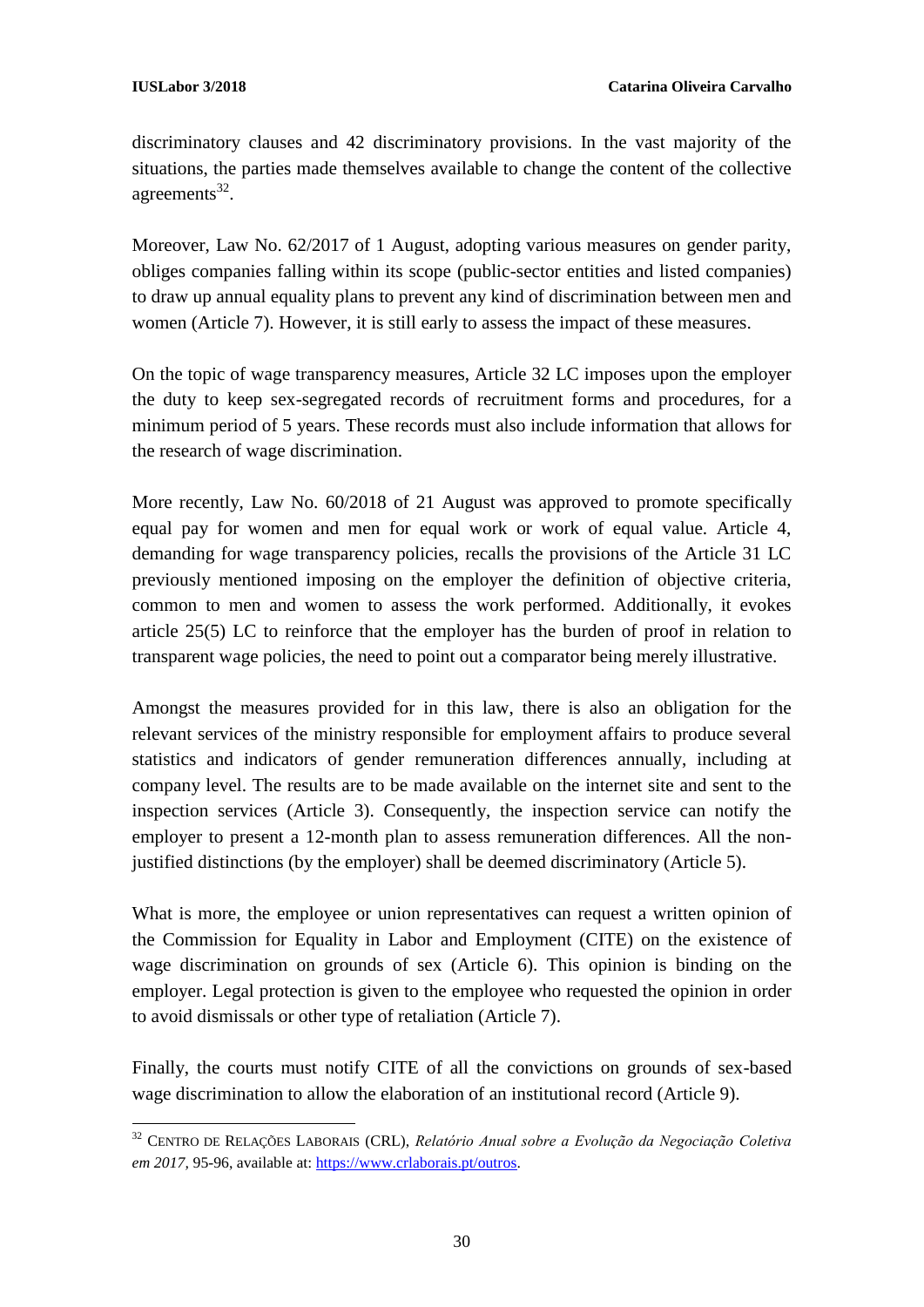**.** 

discriminatory clauses and 42 discriminatory provisions. In the vast majority of the situations, the parties made themselves available to change the content of the collective agreements $^{32}$ .

Moreover, Law No. 62/2017 of 1 August, adopting various measures on gender parity, obliges companies falling within its scope (public-sector entities and listed companies) to draw up annual equality plans to prevent any kind of discrimination between men and women (Article 7). However, it is still early to assess the impact of these measures.

On the topic of wage transparency measures, Article 32 LC imposes upon the employer the duty to keep sex-segregated records of recruitment forms and procedures, for a minimum period of 5 years. These records must also include information that allows for the research of wage discrimination.

More recently, Law No. 60/2018 of 21 August was approved to promote specifically equal pay for women and men for equal work or work of equal value. Article 4, demanding for wage transparency policies, recalls the provisions of the Article 31 LC previously mentioned imposing on the employer the definition of objective criteria, common to men and women to assess the work performed. Additionally, it evokes article 25(5) LC to reinforce that the employer has the burden of proof in relation to transparent wage policies, the need to point out a comparator being merely illustrative.

Amongst the measures provided for in this law, there is also an obligation for the relevant services of the ministry responsible for employment affairs to produce several statistics and indicators of gender remuneration differences annually, including at company level. The results are to be made available on the internet site and sent to the inspection services (Article 3). Consequently, the inspection service can notify the employer to present a 12-month plan to assess remuneration differences. All the nonjustified distinctions (by the employer) shall be deemed discriminatory (Article 5).

What is more, the employee or union representatives can request a written opinion of the Commission for Equality in Labor and Employment (CITE) on the existence of wage discrimination on grounds of sex (Article 6). This opinion is binding on the employer. Legal protection is given to the employee who requested the opinion in order to avoid dismissals or other type of retaliation (Article 7).

Finally, the courts must notify CITE of all the convictions on grounds of sex-based wage discrimination to allow the elaboration of an institutional record (Article 9).

<sup>32</sup> CENTRO DE RELAÇÕES LABORAIS (CRL), *Relatório Anual sobre a Evolução da Negociação Coletiva em 2017,* 95-96, available at[: https://www.crlaborais.pt/outros.](https://www.crlaborais.pt/outros)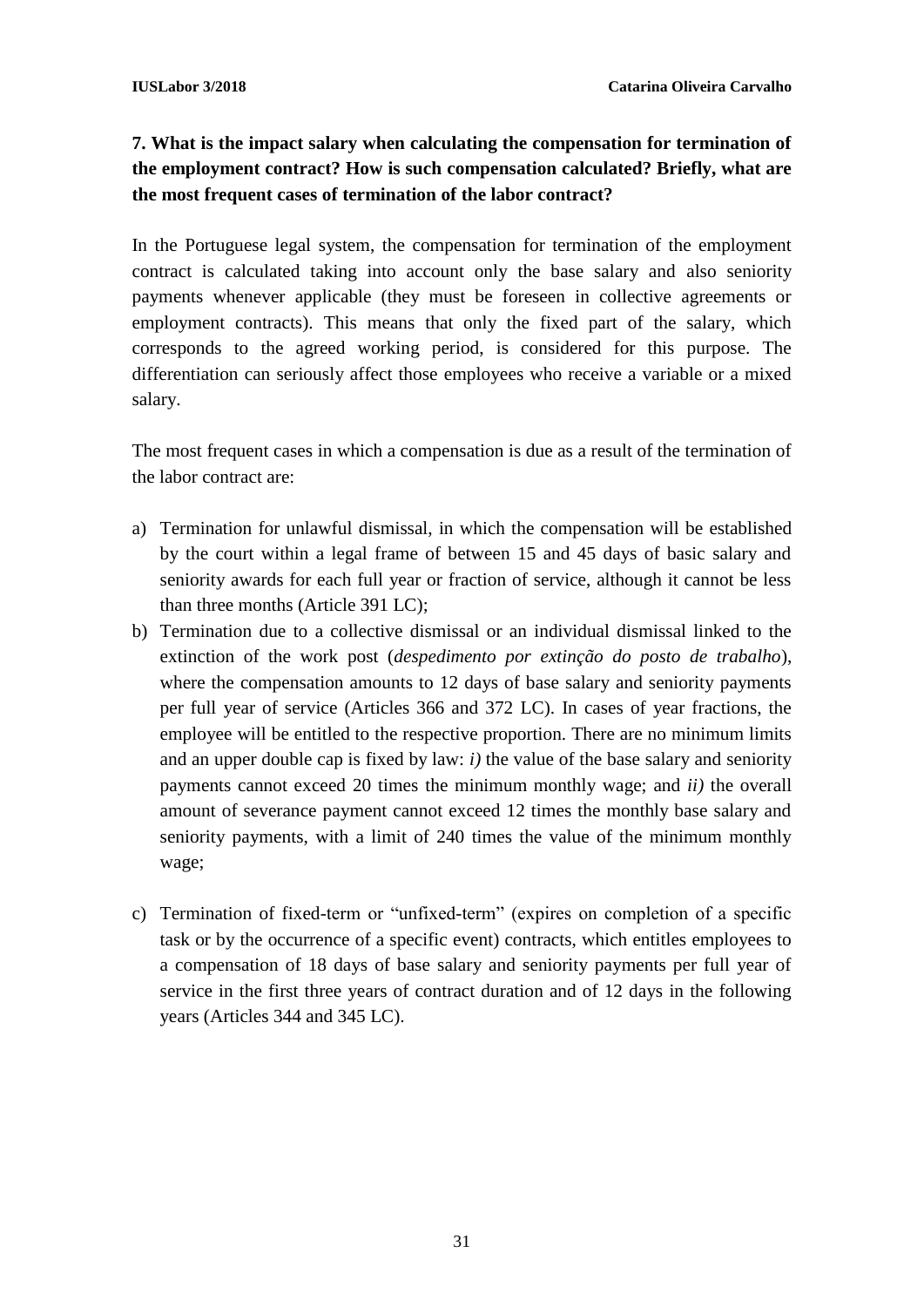### **7. What is the impact salary when calculating the compensation for termination of the employment contract? How is such compensation calculated? Briefly, what are the most frequent cases of termination of the labor contract?**

In the Portuguese legal system, the compensation for termination of the employment contract is calculated taking into account only the base salary and also seniority payments whenever applicable (they must be foreseen in collective agreements or employment contracts). This means that only the fixed part of the salary, which corresponds to the agreed working period, is considered for this purpose. The differentiation can seriously affect those employees who receive a variable or a mixed salary.

The most frequent cases in which a compensation is due as a result of the termination of the labor contract are:

- a) Termination for unlawful dismissal, in which the compensation will be established by the court within a legal frame of between 15 and 45 days of basic salary and seniority awards for each full year or fraction of service, although it cannot be less than three months (Article 391 LC);
- b) Termination due to a collective dismissal or an individual dismissal linked to the extinction of the work post (*despedimento por extinção do posto de trabalho*), where the compensation amounts to 12 days of base salary and seniority payments per full year of service (Articles 366 and 372 LC). In cases of year fractions, the employee will be entitled to the respective proportion. There are no minimum limits and an upper double cap is fixed by law: *i)* the value of the base salary and seniority payments cannot exceed 20 times the minimum monthly wage; and *ii)* the overall amount of severance payment cannot exceed 12 times the monthly base salary and seniority payments, with a limit of 240 times the value of the minimum monthly wage;
- c) Termination of fixed-term or "unfixed-term" (expires on completion of a specific task or by the occurrence of a specific event) contracts, which entitles employees to a compensation of 18 days of base salary and seniority payments per full year of service in the first three years of contract duration and of 12 days in the following years (Articles 344 and 345 LC).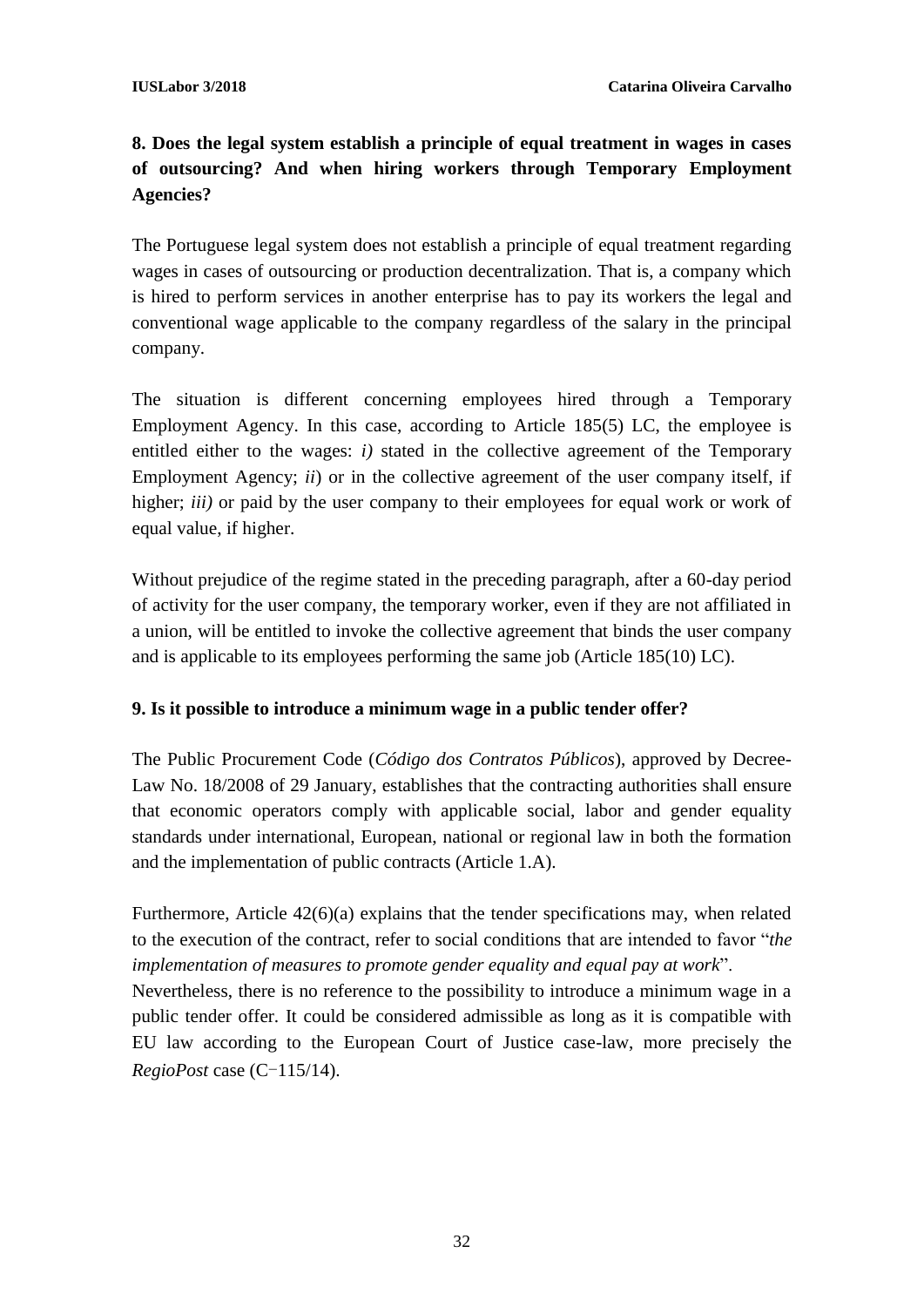# **8. Does the legal system establish a principle of equal treatment in wages in cases of outsourcing? And when hiring workers through Temporary Employment Agencies?**

The Portuguese legal system does not establish a principle of equal treatment regarding wages in cases of outsourcing or production decentralization. That is, a company which is hired to perform services in another enterprise has to pay its workers the legal and conventional wage applicable to the company regardless of the salary in the principal company.

The situation is different concerning employees hired through a Temporary Employment Agency. In this case, according to Article 185(5) LC, the employee is entitled either to the wages: *i)* stated in the collective agreement of the Temporary Employment Agency; *ii*) or in the collective agreement of the user company itself, if higher; *iii*) or paid by the user company to their employees for equal work or work of equal value, if higher.

Without prejudice of the regime stated in the preceding paragraph, after a 60-day period of activity for the user company, the temporary worker, even if they are not affiliated in a union, will be entitled to invoke the collective agreement that binds the user company and is applicable to its employees performing the same job (Article 185(10) LC).

### **9. Is it possible to introduce a minimum wage in a public tender offer?**

The Public Procurement Code (*Código dos Contratos Públicos*), approved by Decree-Law No. 18/2008 of 29 January, establishes that the contracting authorities shall ensure that economic operators comply with applicable social, labor and gender equality standards under international, European, national or regional law in both the formation and the implementation of public contracts (Article 1.A).

Furthermore, Article 42(6)(a) explains that the tender specifications may, when related to the execution of the contract, refer to social conditions that are intended to favor "*the implementation of measures to promote gender equality and equal pay at work*".

Nevertheless, there is no reference to the possibility to introduce a minimum wage in a public tender offer. It could be considered admissible as long as it is compatible with EU law according to the European Court of Justice case-law, more precisely the *RegioPost* case (C-115/14).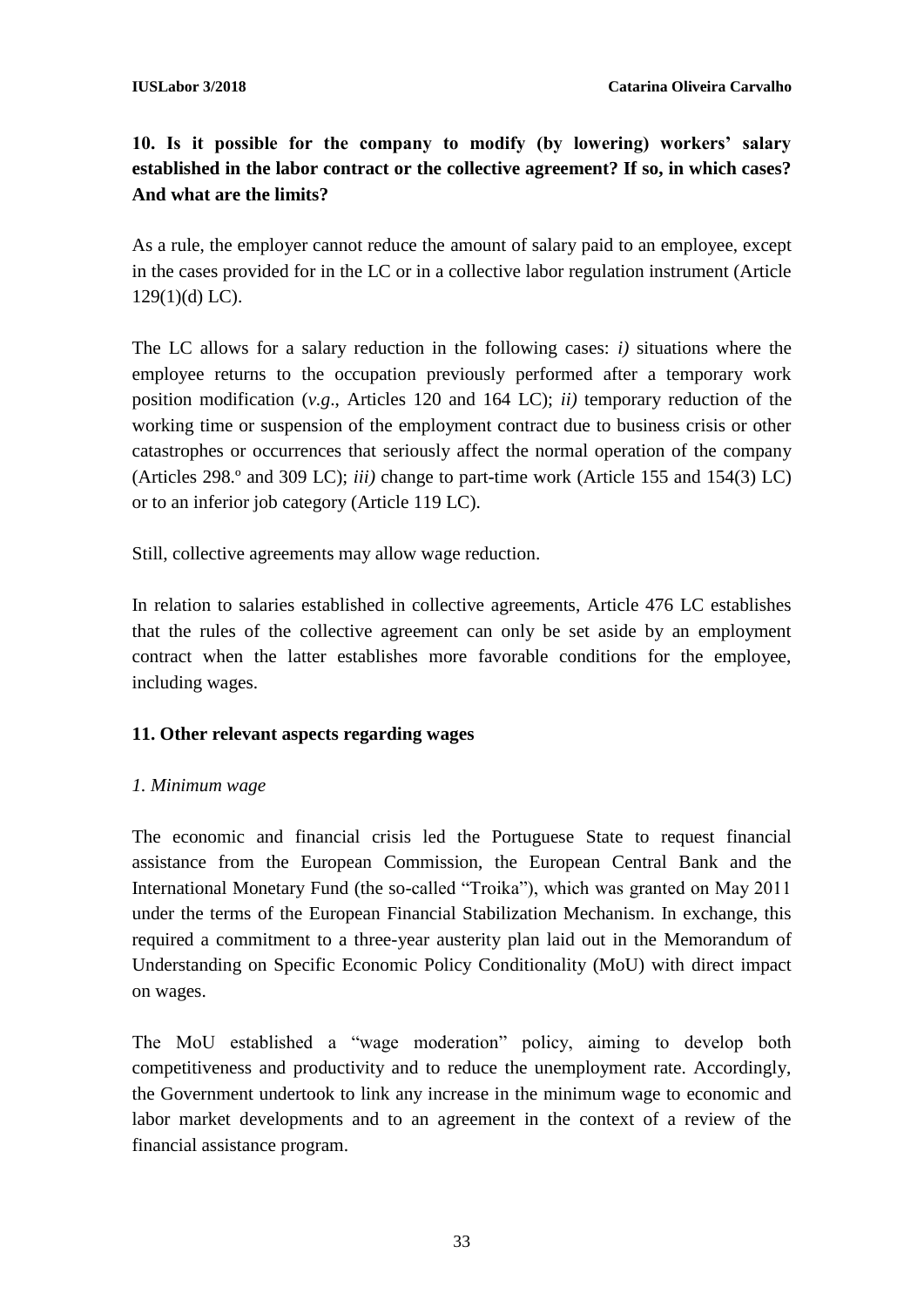**10. Is it possible for the company to modify (by lowering) workers' salary established in the labor contract or the collective agreement? If so, in which cases? And what are the limits?**

As a rule, the employer cannot reduce the amount of salary paid to an employee, except in the cases provided for in the LC or in a collective labor regulation instrument (Article  $129(1)(d)$  LC).

The LC allows for a salary reduction in the following cases: *i)* situations where the employee returns to the occupation previously performed after a temporary work position modification (*v.g*., Articles 120 and 164 LC); *ii)* temporary reduction of the working time or suspension of the employment contract due to business crisis or other catastrophes or occurrences that seriously affect the normal operation of the company (Articles 298.º and 309 LC); *iii)* change to part-time work (Article 155 and 154(3) LC) or to an inferior job category (Article 119 LC).

Still, collective agreements may allow wage reduction.

In relation to salaries established in collective agreements, Article 476 LC establishes that the rules of the collective agreement can only be set aside by an employment contract when the latter establishes more favorable conditions for the employee, including wages.

#### **11. Other relevant aspects regarding wages**

#### *1. Minimum wage*

The economic and financial crisis led the Portuguese State to request financial assistance from the European Commission, the European Central Bank and the International Monetary Fund (the so-called "Troika"), which was granted on May 2011 under the terms of the European Financial Stabilization Mechanism. In exchange, this required a commitment to a three-year austerity plan laid out in the Memorandum of Understanding on Specific Economic Policy Conditionality (MoU) with direct impact on wages.

The MoU established a "wage moderation" policy, aiming to develop both competitiveness and productivity and to reduce the unemployment rate. Accordingly, the Government undertook to link any increase in the minimum wage to economic and labor market developments and to an agreement in the context of a review of the financial assistance program.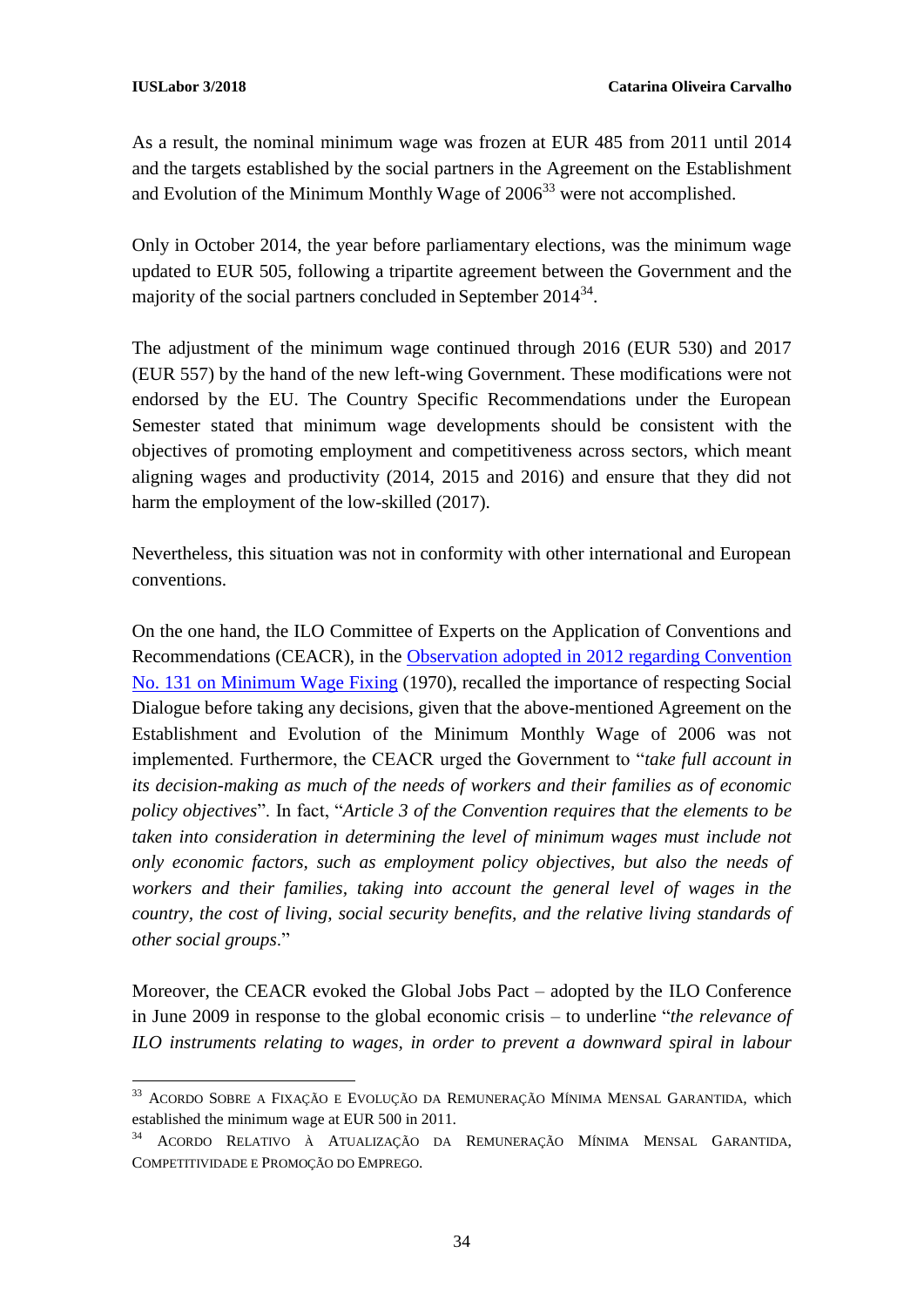As a result, the nominal minimum wage was frozen at EUR 485 from 2011 until 2014 and the targets established by the social partners in the Agreement on the Establishment and Evolution of the Minimum Monthly Wage of  $2006<sup>33</sup>$  were not accomplished.

Only in October 2014, the year before parliamentary elections, was the minimum wage updated to EUR 505, following a tripartite agreement between the Government and the majority of the social partners concluded in September  $2014^{34}$ .

The adjustment of the minimum wage continued through 2016 (EUR 530) and 2017 (EUR 557) by the hand of the new left-wing Government. These modifications were not endorsed by the EU. The Country Specific Recommendations under the European Semester stated that minimum wage developments should be consistent with the objectives of promoting employment and competitiveness across sectors, which meant aligning wages and productivity (2014, 2015 and 2016) and ensure that they did not harm the employment of the low-skilled (2017).

Nevertheless, this situation was not in conformity with other international and European conventions.

On the one hand, the ILO Committee of Experts on the Application of Conventions and Recommendations (CEACR), in the [Observation adopted in 2012 regarding Convention](https://www.ilo.org/dyn/normlex/en/f?p=NORMLEXPUB:13100:0::NO::P13100_COMMENT_ID:3077936)  [No. 131 on Minimum Wage Fixing](https://www.ilo.org/dyn/normlex/en/f?p=NORMLEXPUB:13100:0::NO::P13100_COMMENT_ID:3077936) (1970), recalled the importance of respecting Social Dialogue before taking any decisions, given that the above-mentioned Agreement on the Establishment and Evolution of the Minimum Monthly Wage of 2006 was not implemented. Furthermore, the CEACR urged the Government to "*take full account in its decision-making as much of the needs of workers and their families as of economic policy objectives*". In fact, "*Article 3 of the Convention requires that the elements to be taken into consideration in determining the level of minimum wages must include not only economic factors, such as employment policy objectives, but also the needs of workers and their families, taking into account the general level of wages in the country, the cost of living, social security benefits, and the relative living standards of other social groups*."

Moreover, the CEACR evoked the Global Jobs Pact – adopted by the ILO Conference in June 2009 in response to the global economic crisis – to underline "*the relevance of ILO instruments relating to wages, in order to prevent a downward spiral in labour* 

<sup>1</sup> <sup>33</sup> ACORDO SOBRE A FIXAÇÃO E EVOLUÇÃO DA REMUNERAÇÃO MÍNIMA MENSAL GARANTIDA*,* which established the minimum wage at EUR 500 in 2011.

<sup>34</sup> ACORDO RELATIVO À ATUALIZAÇÃO DA REMUNERAÇÃO MÍNIMA MENSAL GARANTIDA, COMPETITIVIDADE E PROMOÇÃO DO EMPREGO.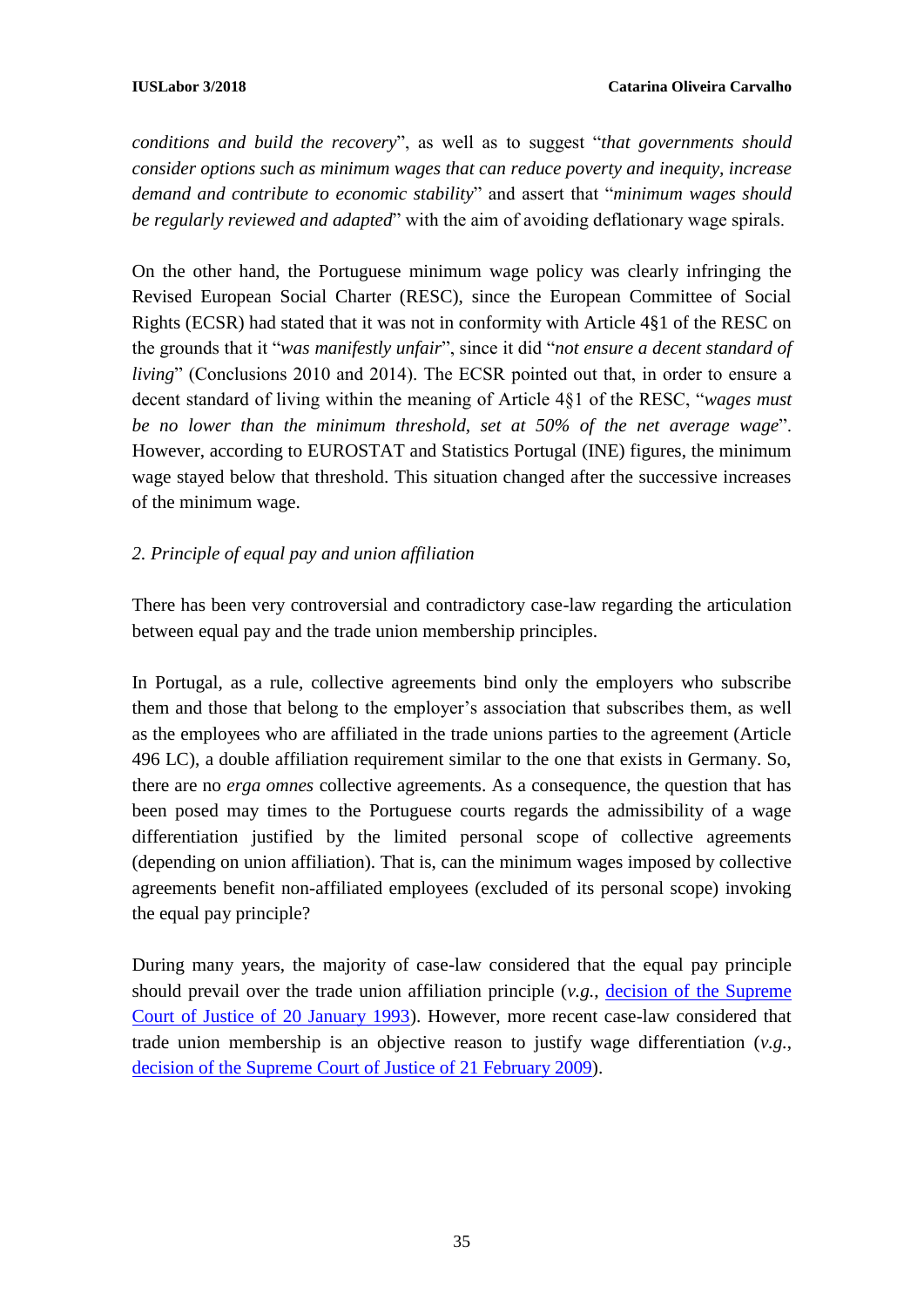*conditions and build the recovery*", as well as to suggest "*that governments should consider options such as minimum wages that can reduce poverty and inequity, increase demand and contribute to economic stability*" and assert that "*minimum wages should be regularly reviewed and adapted*" with the aim of avoiding deflationary wage spirals.

On the other hand, the Portuguese minimum wage policy was clearly infringing the Revised European Social Charter (RESC), since the European Committee of Social Rights (ECSR) had stated that it was not in conformity with Article 4§1 of the RESC on the grounds that it "*was manifestly unfair*", since it did "*not ensure a decent standard of living*" (Conclusions 2010 and 2014). The ECSR pointed out that, in order to ensure a decent standard of living within the meaning of Article 4§1 of the RESC, "*wages must be no lower than the minimum threshold, set at 50% of the net average wage*". However, according to EUROSTAT and Statistics Portugal (INE) figures, the minimum wage stayed below that threshold. This situation changed after the successive increases of the minimum wage.

#### *2. Principle of equal pay and union affiliation*

There has been very controversial and contradictory case-law regarding the articulation between equal pay and the trade union membership principles.

In Portugal, as a rule, collective agreements bind only the employers who subscribe them and those that belong to the employer's association that subscribes them, as well as the employees who are affiliated in the trade unions parties to the agreement (Article 496 LC), a double affiliation requirement similar to the one that exists in Germany. So, there are no *erga omnes* collective agreements. As a consequence, the question that has been posed may times to the Portuguese courts regards the admissibility of a wage differentiation justified by the limited personal scope of collective agreements (depending on union affiliation). That is, can the minimum wages imposed by collective agreements benefit non-affiliated employees (excluded of its personal scope) invoking the equal pay principle?

During many years, the majority of case-law considered that the equal pay principle should prevail over the trade union affiliation principle (*v.g.*, [decision of the Supreme](http://www.dgsi.pt/jstj.nsf/954f0ce6ad9dd8b980256b5f003fa814/36d66cf0c67a8703802568fc003a54b6?OpenDocument)  [Court of Justice of 20 January 1993\)](http://www.dgsi.pt/jstj.nsf/954f0ce6ad9dd8b980256b5f003fa814/36d66cf0c67a8703802568fc003a54b6?OpenDocument). However, more recent case-law considered that trade union membership is an objective reason to justify wage differentiation (*v.g.*, [decision of the Supreme Court of Justice of](http://www.dgsi.pt/jstj.nsf/954f0ce6ad9dd8b980256b5f003fa814/3929fbc517f60ba78025765d0055ba7a?OpenDocument) 21 February 2009).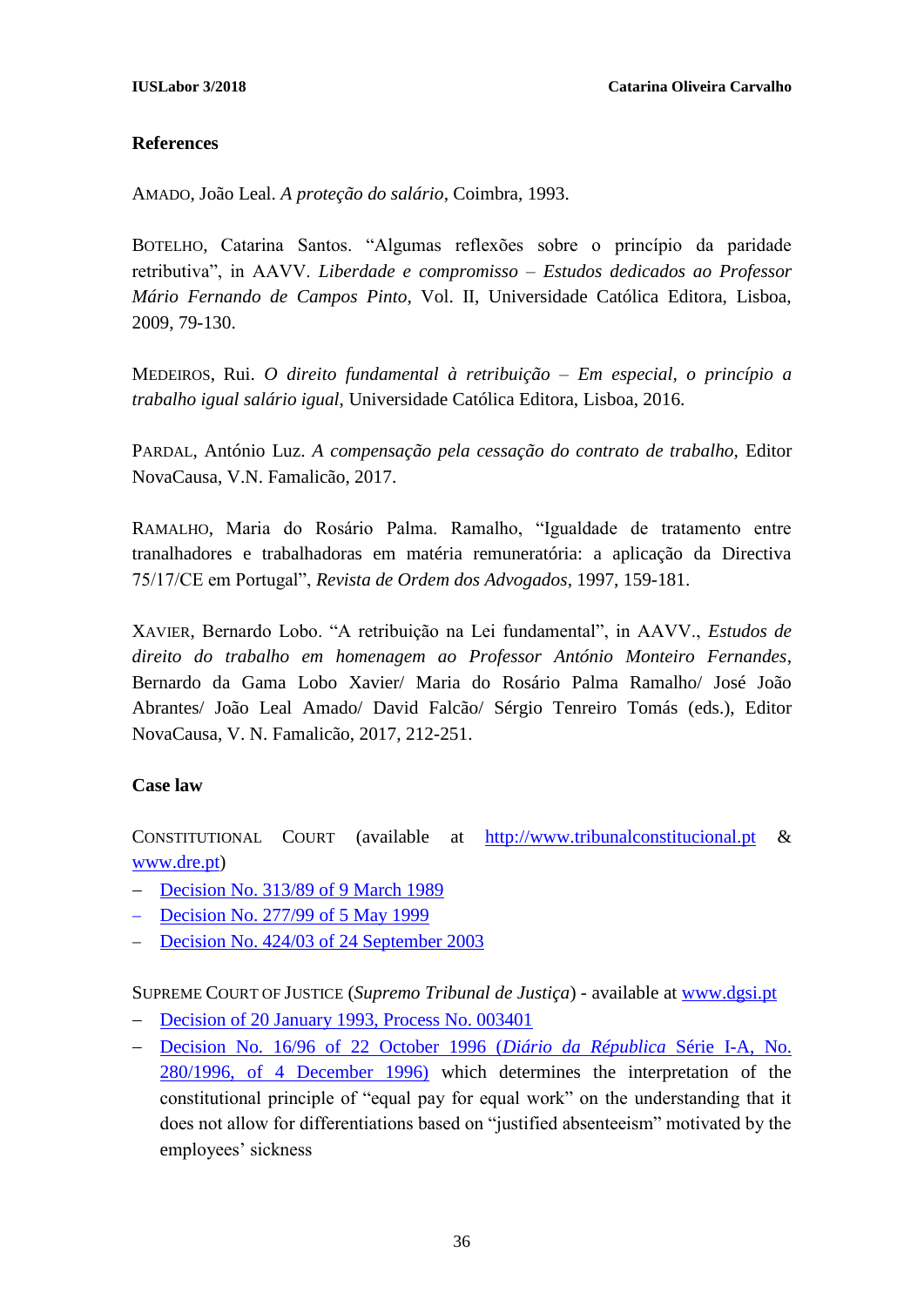#### **References**

AMADO, João Leal. *A proteção do salário*, Coimbra, 1993.

BOTELHO, Catarina Santos. "Algumas reflexões sobre o princípio da paridade retributiva", in AAVV. *Liberdade e compromisso – Estudos dedicados ao Professor Mário Fernando de Campos Pinto*, Vol. II, Universidade Católica Editora, Lisboa, 2009, 79-130.

MEDEIROS, Rui. *O direito fundamental à retribuição – Em especial, o princípio a trabalho igual salário igual,* Universidade Católica Editora, Lisboa, 2016.

PARDAL, António Luz. *A compensação pela cessação do contrato de trabalho,* Editor NovaCausa, V.N. Famalicão, 2017.

RAMALHO, Maria do Rosário Palma. Ramalho, "Igualdade de tratamento entre tranalhadores e trabalhadoras em matéria remuneratória: a aplicação da Directiva 75/17/CE em Portugal", *Revista de Ordem dos Advogados*, 1997, 159-181.

XAVIER, Bernardo Lobo. "A retribuição na Lei fundamental", in AAVV., *Estudos de direito do trabalho em homenagem ao Professor António Monteiro Fernandes*, Bernardo da Gama Lobo Xavier/ Maria do Rosário Palma Ramalho/ José João Abrantes/ João Leal Amado/ David Falcão/ Sérgio Tenreiro Tomás (eds.), Editor NovaCausa, V. N. Famalicão, 2017, 212-251.

#### **Case law**

CONSTITUTIONAL COURT (available at [http://www.tribunalconstitucional.pt](http://www.tribunalconstitucional.pt/) & [www.dre.pt\)](http://www.dre.pt/)

- [Decision No. 313/89 of 9 March 1989](http://www.tribunalconstitucional.pt/tc/acordaos/19890313.html)
- [Decision No. 277/99](http://www.tribunalconstitucional.pt/tc/acordaos/19990277.html) of 5 May 1999
- [Decision No. 424/03 of 24 September 2003](http://www.tribunalconstitucional.pt/tc/acordaos/20030424.html)

SUPREME COURT OF JUSTICE (*Supremo Tribunal de Justiça*) - available at [www.dgsi.pt](http://www.dgsi.pt)/)

- [Decision of 20 January 1993, Process No. 003401](http://www.dgsi.pt/jstj.nsf/954f0ce6ad9dd8b980256b5f003fa814/36d66cf0c67a8703802568fc003a54b6?OpenDocument)
- [Decision No. 16/96 of 22 October 1996 \(](https://dre.pt/web/guest/pesquisa-avancada/-/asearch/186304/details/maximized?serie=I&parteDR=A_I&advanced.search=Pesquisa+Avançada&dataPublicacao=1996-12-04&types=DR&dreId=105854)*Diário da Républica* Série I-A, No. [280/1996, of 4 December 1996\)](https://dre.pt/web/guest/pesquisa-avancada/-/asearch/186304/details/maximized?serie=I&parteDR=A_I&advanced.search=Pesquisa+Avançada&dataPublicacao=1996-12-04&types=DR&dreId=105854) which determines the interpretation of the constitutional principle of "equal pay for equal work" on the understanding that it does not allow for differentiations based on "justified absenteeism" motivated by the employees' sickness